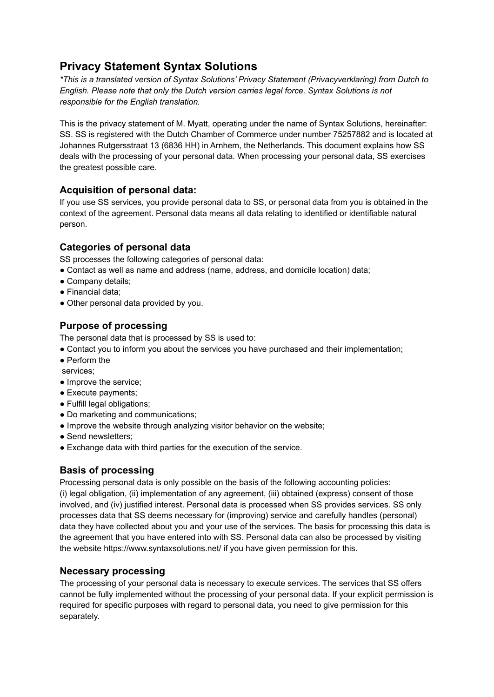# **Privacy Statement Syntax Solutions**

*\*This is a translated version of Syntax Solutions' Privacy Statement (Privacyverklaring) from Dutch to English. Please note that only the Dutch version carries legal force. Syntax Solutions is not responsible for the English translation.*

This is the privacy statement of M. Myatt, operating under the name of Syntax Solutions, hereinafter: SS. SS is registered with the Dutch Chamber of Commerce under number 75257882 and is located at Johannes Rutgersstraat 13 (6836 HH) in Arnhem, the Netherlands. This document explains how SS deals with the processing of your personal data. When processing your personal data, SS exercises the greatest possible care.

#### **Acquisition of personal data:**

If you use SS services, you provide personal data to SS, or personal data from you is obtained in the context of the agreement. Personal data means all data relating to identified or identifiable natural person.

#### **Categories of personal data**

SS processes the following categories of personal data:

- Contact as well as name and address (name, address, and domicile location) data;
- Company details;
- Financial data;
- Other personal data provided by you.

# **Purpose of processing**

The personal data that is processed by SS is used to:

- Contact you to inform you about the services you have purchased and their implementation;
- Perform the
- services;
- Improve the service;
- Execute payments;
- Fulfill legal obligations;
- Do marketing and communications;
- Improve the website through analyzing visitor behavior on the website;
- Send newsletters;
- Exchange data with third parties for the execution of the service.

## **Basis of processing**

Processing personal data is only possible on the basis of the following accounting policies: (i) legal obligation, (ii) implementation of any agreement, (iii) obtained (express) consent of those involved, and (iv) justified interest. Personal data is processed when SS provides services. SS only processes data that SS deems necessary for (improving) service and carefully handles (personal) data they have collected about you and your use of the services. The basis for processing this data is the agreement that you have entered into with SS. Personal data can also be processed by visiting the website https://www.syntaxsolutions.net/ if you have given permission for this.

## **Necessary processing**

The processing of your personal data is necessary to execute services. The services that SS offers cannot be fully implemented without the processing of your personal data. If your explicit permission is required for specific purposes with regard to personal data, you need to give permission for this separately.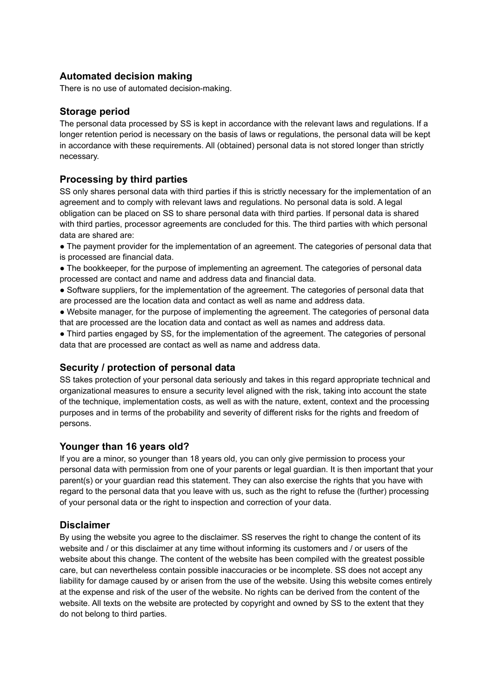## **Automated decision making**

There is no use of automated decision-making.

#### **Storage period**

The personal data processed by SS is kept in accordance with the relevant laws and regulations. If a longer retention period is necessary on the basis of laws or regulations, the personal data will be kept in accordance with these requirements. All (obtained) personal data is not stored longer than strictly necessary.

#### **Processing by third parties**

SS only shares personal data with third parties if this is strictly necessary for the implementation of an agreement and to comply with relevant laws and regulations. No personal data is sold. A legal obligation can be placed on SS to share personal data with third parties. If personal data is shared with third parties, processor agreements are concluded for this. The third parties with which personal data are shared are:

- The payment provider for the implementation of an agreement. The categories of personal data that is processed are financial data.
- The bookkeeper, for the purpose of implementing an agreement. The categories of personal data processed are contact and name and address data and financial data.
- Software suppliers, for the implementation of the agreement. The categories of personal data that are processed are the location data and contact as well as name and address data.
- Website manager, for the purpose of implementing the agreement. The categories of personal data that are processed are the location data and contact as well as names and address data.
- Third parties engaged by SS, for the implementation of the agreement. The categories of personal data that are processed are contact as well as name and address data.

## **Security / protection of personal data**

SS takes protection of your personal data seriously and takes in this regard appropriate technical and organizational measures to ensure a security level aligned with the risk, taking into account the state of the technique, implementation costs, as well as with the nature, extent, context and the processing purposes and in terms of the probability and severity of different risks for the rights and freedom of persons.

#### **Younger than 16 years old?**

If you are a minor, so younger than 18 years old, you can only give permission to process your personal data with permission from one of your parents or legal guardian. It is then important that your parent(s) or your guardian read this statement. They can also exercise the rights that you have with regard to the personal data that you leave with us, such as the right to refuse the (further) processing of your personal data or the right to inspection and correction of your data.

#### **Disclaimer**

By using the website you agree to the disclaimer. SS reserves the right to change the content of its website and / or this disclaimer at any time without informing its customers and / or users of the website about this change. The content of the website has been compiled with the greatest possible care, but can nevertheless contain possible inaccuracies or be incomplete. SS does not accept any liability for damage caused by or arisen from the use of the website. Using this website comes entirely at the expense and risk of the user of the website. No rights can be derived from the content of the website. All texts on the website are protected by copyright and owned by SS to the extent that they do not belong to third parties.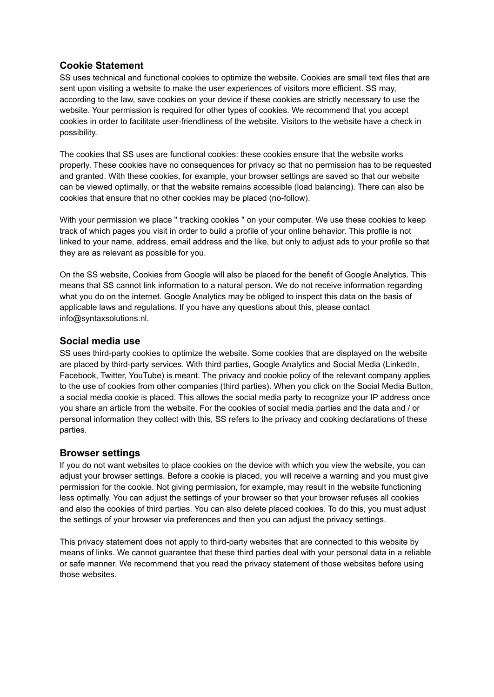## **Cookie Statement**

SS uses technical and functional cookies to optimize the website. Cookies are small text files that are sent upon visiting a website to make the user experiences of visitors more efficient. SS may, according to the law, save cookies on your device if these cookies are strictly necessary to use the website. Your permission is required for other types of cookies. We recommend that you accept cookies in order to facilitate user-friendliness of the website. Visitors to the website have a check in possibility.

The cookies that SS uses are functional cookies: these cookies ensure that the website works properly. These cookies have no consequences for privacy so that no permission has to be requested and granted. With these cookies, for example, your browser settings are saved so that our website can be viewed optimally, or that the website remains accessible (load balancing). There can also be cookies that ensure that no other cookies may be placed (no-follow).

With your permission we place " tracking cookies " on your computer. We use these cookies to keep track of which pages you visit in order to build a profile of your online behavior. This profile is not linked to your name, address, email address and the like, but only to adjust ads to your profile so that they are as relevant as possible for you.

On the SS website, Cookies from Google will also be placed for the benefit of Google Analytics. This means that SS cannot link information to a natural person. We do not receive information regarding what you do on the internet. Google Analytics may be obliged to inspect this data on the basis of applicable laws and regulations. If you have any questions about this, please contact info@syntaxsolutions.nl.

## **Social media use**

SS uses third-party cookies to optimize the website. Some cookies that are displayed on the website are placed by third-party services. With third parties, Google Analytics and Social Media (LinkedIn, Facebook, Twitter, YouTube) is meant. The privacy and cookie policy of the relevant company applies to the use of cookies from other companies (third parties). When you click on the Social Media Button, a social media cookie is placed. This allows the social media party to recognize your IP address once you share an article from the website. For the cookies of social media parties and the data and / or personal information they collect with this, SS refers to the privacy and cooking declarations of these parties.

#### **Browser settings**

If you do not want websites to place cookies on the device with which you view the website, you can adjust your browser settings. Before a cookie is placed, you will receive a warning and you must give permission for the cookie. Not giving permission, for example, may result in the website functioning less optimally. You can adjust the settings of your browser so that your browser refuses all cookies and also the cookies of third parties. You can also delete placed cookies. To do this, you must adjust the settings of your browser via preferences and then you can adjust the privacy settings.

This privacy statement does not apply to third-party websites that are connected to this website by means of links. We cannot guarantee that these third parties deal with your personal data in a reliable or safe manner. We recommend that you read the privacy statement of those websites before using those websites.